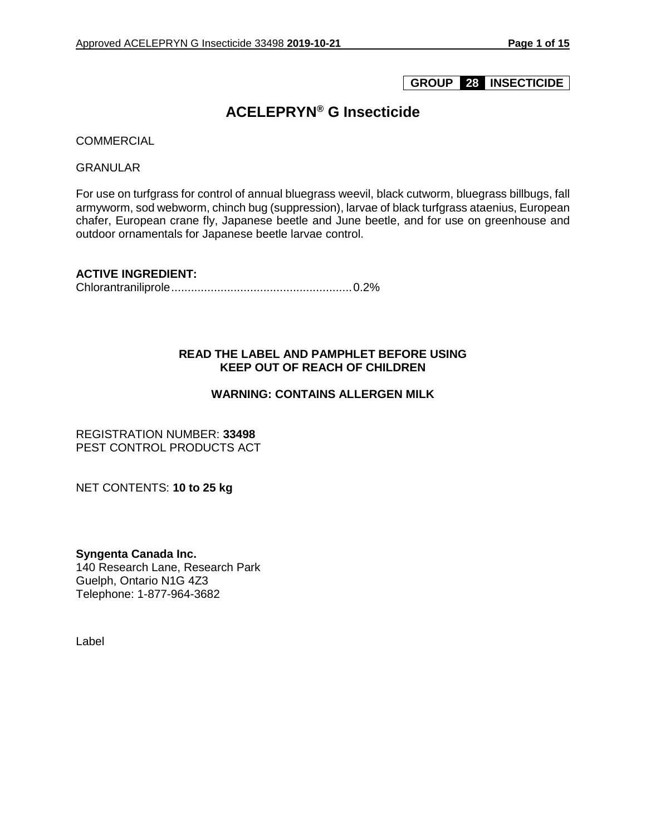## **GROUP 28 INSECTICIDE**

## **ACELEPRYN® G Insecticide**

**COMMERCIAL** 

GRANULAR

For use on turfgrass for control of annual bluegrass weevil, black cutworm, bluegrass billbugs, fall armyworm, sod webworm, chinch bug (suppression), larvae of black turfgrass ataenius, European chafer, European crane fly, Japanese beetle and June beetle, and for use on greenhouse and outdoor ornamentals for Japanese beetle larvae control.

**ACTIVE INGREDIENT:** 

Chlorantraniliprole.......................................................0.2%

## **READ THE LABEL AND PAMPHLET BEFORE USING KEEP OUT OF REACH OF CHILDREN**

## **WARNING: CONTAINS ALLERGEN MILK**

REGISTRATION NUMBER: **33498** PEST CONTROL PRODUCTS ACT

NET CONTENTS: **10 to 25 kg**

**Syngenta Canada Inc.** 140 Research Lane, Research Park Guelph, Ontario N1G 4Z3 Telephone: 1-877-964-3682

Label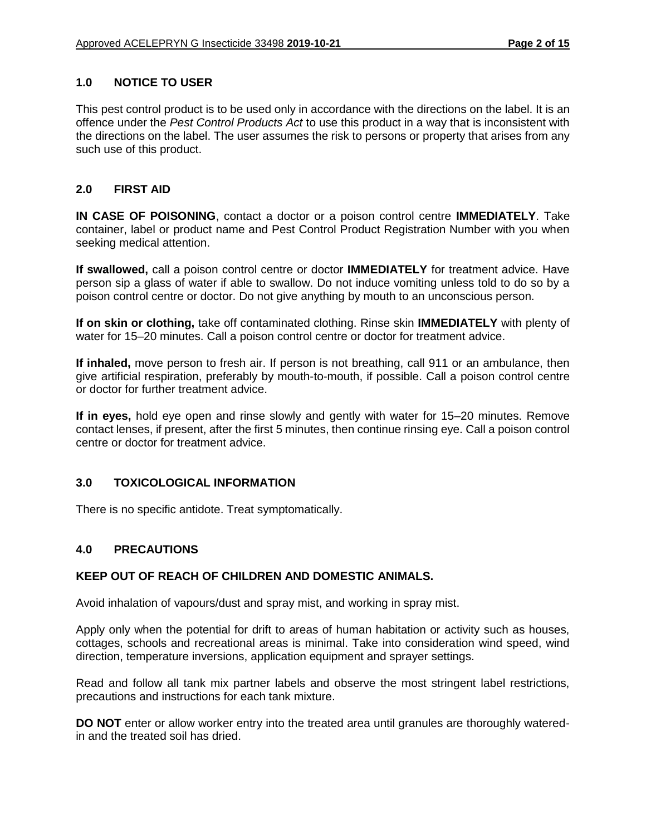## **1.0 NOTICE TO USER**

This pest control product is to be used only in accordance with the directions on the label. It is an offence under the *Pest Control Products Act* to use this product in a way that is inconsistent with the directions on the label. The user assumes the risk to persons or property that arises from any such use of this product.

#### **2.0 FIRST AID**

**IN CASE OF POISONING**, contact a doctor or a poison control centre **IMMEDIATELY**. Take container, label or product name and Pest Control Product Registration Number with you when seeking medical attention.

**If swallowed,** call a poison control centre or doctor **IMMEDIATELY** for treatment advice. Have person sip a glass of water if able to swallow. Do not induce vomiting unless told to do so by a poison control centre or doctor. Do not give anything by mouth to an unconscious person.

**If on skin or clothing,** take off contaminated clothing. Rinse skin **IMMEDIATELY** with plenty of water for 15–20 minutes. Call a poison control centre or doctor for treatment advice.

**If inhaled,** move person to fresh air. If person is not breathing, call 911 or an ambulance, then give artificial respiration, preferably by mouth-to-mouth, if possible. Call a poison control centre or doctor for further treatment advice.

**If in eyes,** hold eye open and rinse slowly and gently with water for 15–20 minutes. Remove contact lenses, if present, after the first 5 minutes, then continue rinsing eye. Call a poison control centre or doctor for treatment advice.

## **3.0 TOXICOLOGICAL INFORMATION**

There is no specific antidote. Treat symptomatically.

#### **4.0 PRECAUTIONS**

#### **KEEP OUT OF REACH OF CHILDREN AND DOMESTIC ANIMALS.**

Avoid inhalation of vapours/dust and spray mist, and working in spray mist.

Apply only when the potential for drift to areas of human habitation or activity such as houses, cottages, schools and recreational areas is minimal. Take into consideration wind speed, wind direction, temperature inversions, application equipment and sprayer settings.

Read and follow all tank mix partner labels and observe the most stringent label restrictions, precautions and instructions for each tank mixture.

**DO NOT** enter or allow worker entry into the treated area until granules are thoroughly wateredin and the treated soil has dried.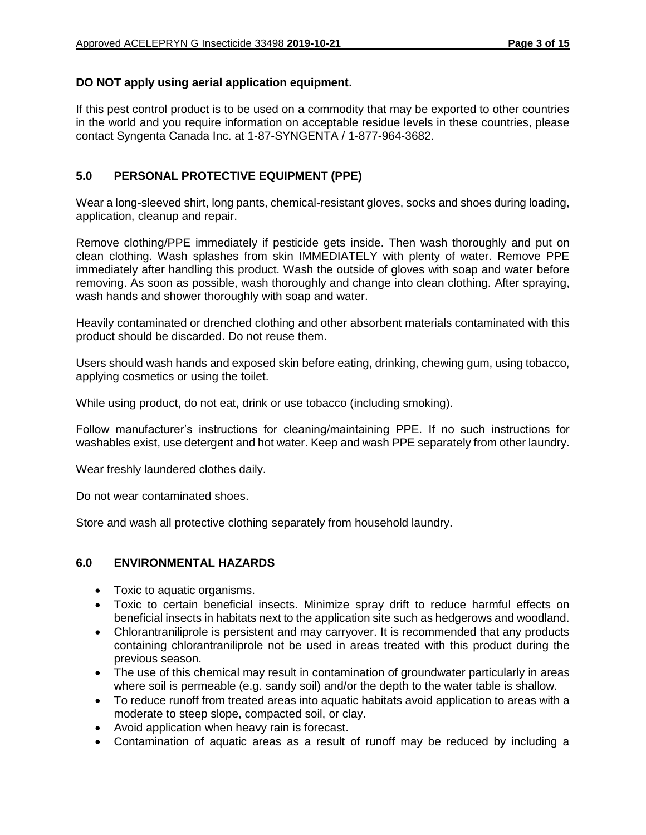## **DO NOT apply using aerial application equipment.**

If this pest control product is to be used on a commodity that may be exported to other countries in the world and you require information on acceptable residue levels in these countries, please contact Syngenta Canada Inc. at 1-87-SYNGENTA / 1-877-964-3682.

## **5.0 PERSONAL PROTECTIVE EQUIPMENT (PPE)**

Wear a long-sleeved shirt, long pants, chemical-resistant gloves, socks and shoes during loading, application, cleanup and repair.

Remove clothing/PPE immediately if pesticide gets inside. Then wash thoroughly and put on clean clothing. Wash splashes from skin IMMEDIATELY with plenty of water. Remove PPE immediately after handling this product. Wash the outside of gloves with soap and water before removing. As soon as possible, wash thoroughly and change into clean clothing. After spraying, wash hands and shower thoroughly with soap and water.

Heavily contaminated or drenched clothing and other absorbent materials contaminated with this product should be discarded. Do not reuse them.

Users should wash hands and exposed skin before eating, drinking, chewing gum, using tobacco, applying cosmetics or using the toilet.

While using product, do not eat, drink or use tobacco (including smoking).

Follow manufacturer's instructions for cleaning/maintaining PPE. If no such instructions for washables exist, use detergent and hot water. Keep and wash PPE separately from other laundry.

Wear freshly laundered clothes daily.

Do not wear contaminated shoes.

Store and wash all protective clothing separately from household laundry.

## **6.0 ENVIRONMENTAL HAZARDS**

- Toxic to aquatic organisms.
- Toxic to certain beneficial insects. Minimize spray drift to reduce harmful effects on beneficial insects in habitats next to the application site such as hedgerows and woodland.
- Chlorantraniliprole is persistent and may carryover. It is recommended that any products containing chlorantraniliprole not be used in areas treated with this product during the previous season.
- The use of this chemical may result in contamination of groundwater particularly in areas where soil is permeable (e.g. sandy soil) and/or the depth to the water table is shallow.
- To reduce runoff from treated areas into aquatic habitats avoid application to areas with a moderate to steep slope, compacted soil, or clay.
- Avoid application when heavy rain is forecast.
- Contamination of aquatic areas as a result of runoff may be reduced by including a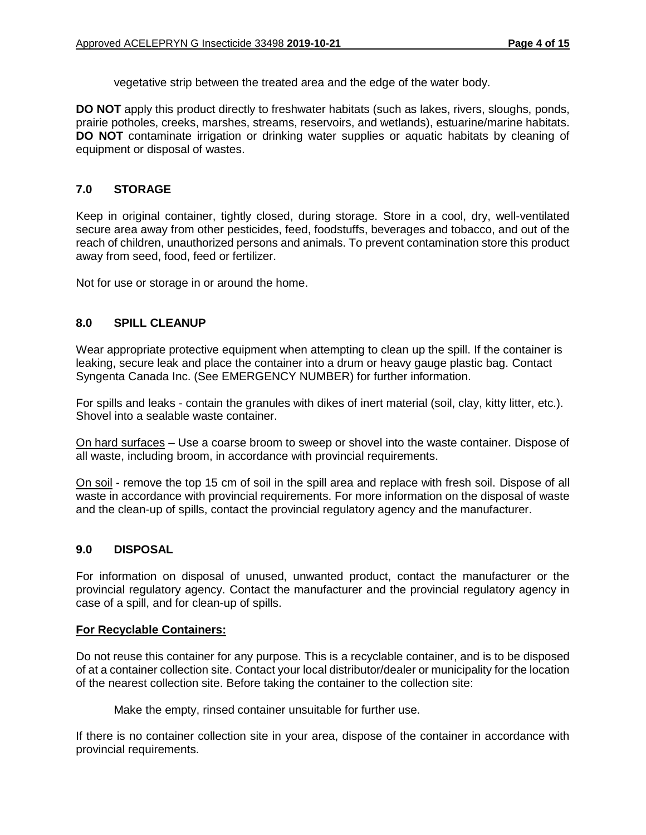vegetative strip between the treated area and the edge of the water body.

**DO NOT** apply this product directly to freshwater habitats (such as lakes, rivers, sloughs, ponds, prairie potholes, creeks, marshes, streams, reservoirs, and wetlands), estuarine/marine habitats. **DO NOT** contaminate irrigation or drinking water supplies or aquatic habitats by cleaning of equipment or disposal of wastes.

## **7.0 STORAGE**

Keep in original container, tightly closed, during storage. Store in a cool, dry, well-ventilated secure area away from other pesticides, feed, foodstuffs, beverages and tobacco, and out of the reach of children, unauthorized persons and animals. To prevent contamination store this product away from seed, food, feed or fertilizer.

Not for use or storage in or around the home.

#### **8.0 SPILL CLEANUP**

Wear appropriate protective equipment when attempting to clean up the spill. If the container is leaking, secure leak and place the container into a drum or heavy gauge plastic bag. Contact Syngenta Canada Inc. (See EMERGENCY NUMBER) for further information.

For spills and leaks - contain the granules with dikes of inert material (soil, clay, kitty litter, etc.). Shovel into a sealable waste container.

On hard surfaces – Use a coarse broom to sweep or shovel into the waste container. Dispose of all waste, including broom, in accordance with provincial requirements.

On soil - remove the top 15 cm of soil in the spill area and replace with fresh soil. Dispose of all waste in accordance with provincial requirements. For more information on the disposal of waste and the clean-up of spills, contact the provincial regulatory agency and the manufacturer.

#### **9.0 DISPOSAL**

For information on disposal of unused, unwanted product, contact the manufacturer or the provincial regulatory agency. Contact the manufacturer and the provincial regulatory agency in case of a spill, and for clean-up of spills.

#### **For Recyclable Containers:**

Do not reuse this container for any purpose. This is a recyclable container, and is to be disposed of at a container collection site. Contact your local distributor/dealer or municipality for the location of the nearest collection site. Before taking the container to the collection site:

Make the empty, rinsed container unsuitable for further use.

If there is no container collection site in your area, dispose of the container in accordance with provincial requirements.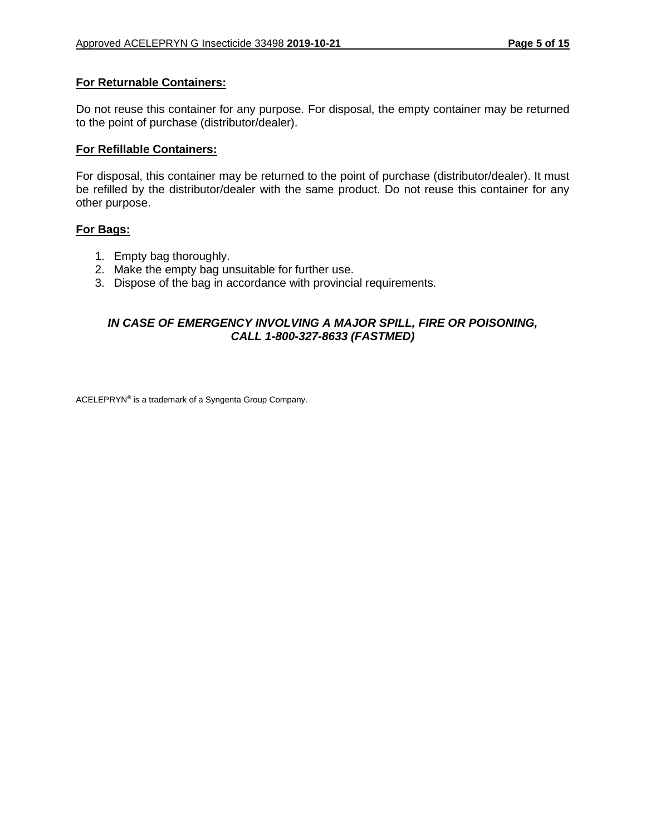## **For Returnable Containers:**

Do not reuse this container for any purpose. For disposal, the empty container may be returned to the point of purchase (distributor/dealer).

#### **For Refillable Containers:**

For disposal, this container may be returned to the point of purchase (distributor/dealer). It must be refilled by the distributor/dealer with the same product. Do not reuse this container for any other purpose.

#### **For Bags:**

- 1. Empty bag thoroughly.
- 2. Make the empty bag unsuitable for further use.
- 3. Dispose of the bag in accordance with provincial requirements.

## *IN CASE OF EMERGENCY INVOLVING A MAJOR SPILL, FIRE OR POISONING, CALL 1-800-327-8633 (FASTMED)*

ACELEPRYN® is a trademark of a Syngenta Group Company.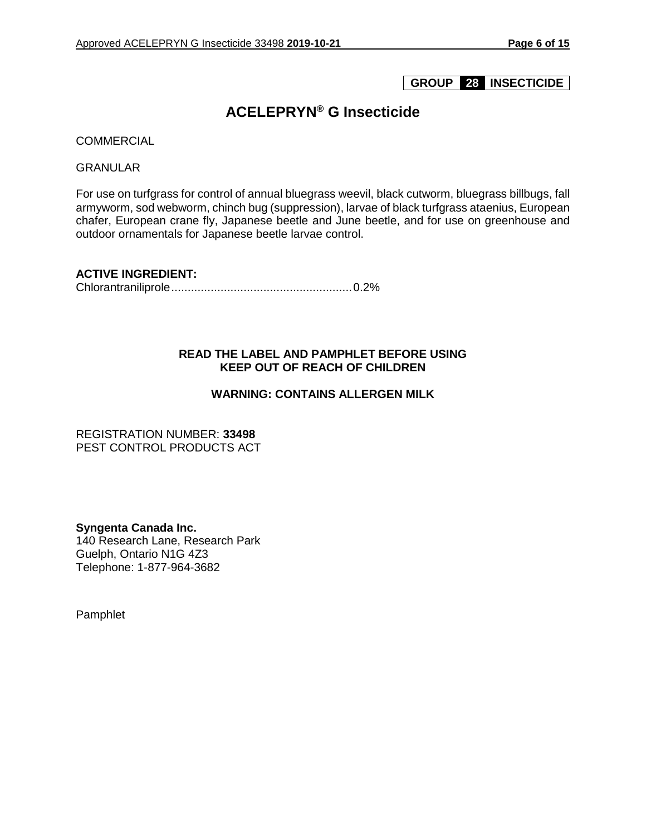## **GROUP 28 INSECTICIDE**

## **ACELEPRYN® G Insecticide**

**COMMERCIAL** 

GRANULAR

For use on turfgrass for control of annual bluegrass weevil, black cutworm, bluegrass billbugs, fall armyworm, sod webworm, chinch bug (suppression), larvae of black turfgrass ataenius, European chafer, European crane fly, Japanese beetle and June beetle, and for use on greenhouse and outdoor ornamentals for Japanese beetle larvae control.

**ACTIVE INGREDIENT:** 

Chlorantraniliprole.......................................................0.2%

## **READ THE LABEL AND PAMPHLET BEFORE USING KEEP OUT OF REACH OF CHILDREN**

## **WARNING: CONTAINS ALLERGEN MILK**

REGISTRATION NUMBER: **33498** PEST CONTROL PRODUCTS ACT

**Syngenta Canada Inc.** 140 Research Lane, Research Park Guelph, Ontario N1G 4Z3 Telephone: 1-877-964-3682

Pamphlet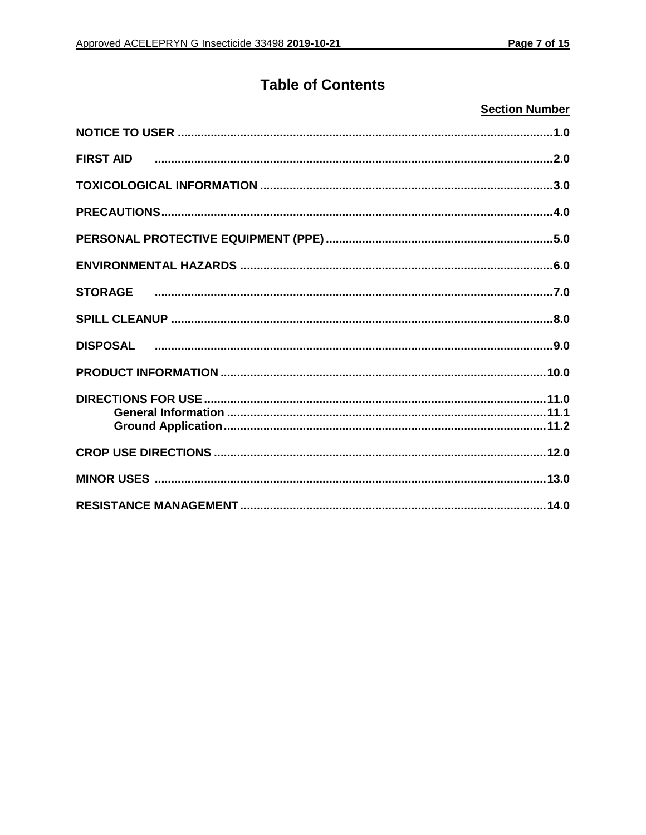# **Table of Contents**

## **Section Number**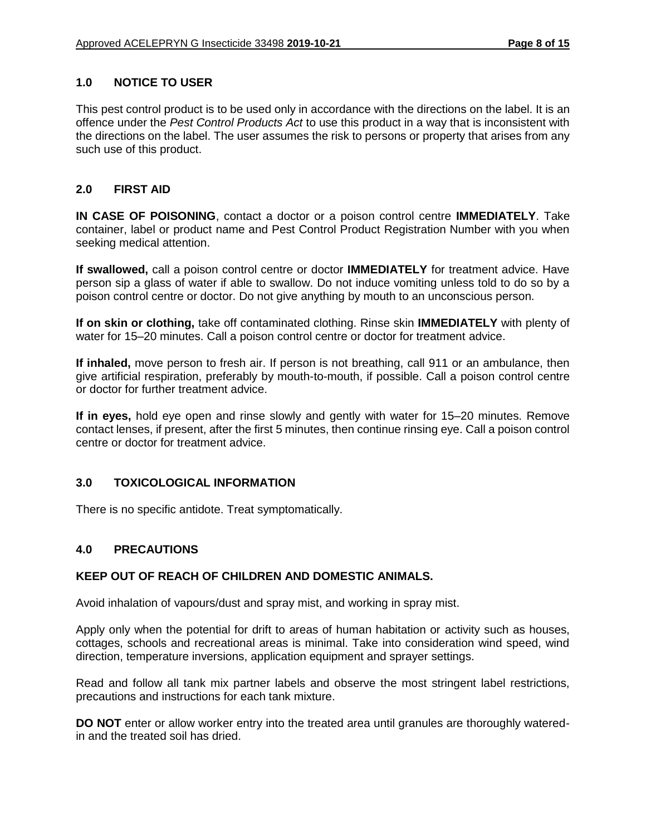## **1.0 NOTICE TO USER**

This pest control product is to be used only in accordance with the directions on the label. It is an offence under the *Pest Control Products Act* to use this product in a way that is inconsistent with the directions on the label. The user assumes the risk to persons or property that arises from any such use of this product.

#### **2.0 FIRST AID**

**IN CASE OF POISONING**, contact a doctor or a poison control centre **IMMEDIATELY**. Take container, label or product name and Pest Control Product Registration Number with you when seeking medical attention.

**If swallowed,** call a poison control centre or doctor **IMMEDIATELY** for treatment advice. Have person sip a glass of water if able to swallow. Do not induce vomiting unless told to do so by a poison control centre or doctor. Do not give anything by mouth to an unconscious person.

**If on skin or clothing,** take off contaminated clothing. Rinse skin **IMMEDIATELY** with plenty of water for 15–20 minutes. Call a poison control centre or doctor for treatment advice.

**If inhaled,** move person to fresh air. If person is not breathing, call 911 or an ambulance, then give artificial respiration, preferably by mouth-to-mouth, if possible. Call a poison control centre or doctor for further treatment advice.

**If in eyes,** hold eye open and rinse slowly and gently with water for 15–20 minutes. Remove contact lenses, if present, after the first 5 minutes, then continue rinsing eye. Call a poison control centre or doctor for treatment advice.

## **3.0 TOXICOLOGICAL INFORMATION**

There is no specific antidote. Treat symptomatically.

#### **4.0 PRECAUTIONS**

#### **KEEP OUT OF REACH OF CHILDREN AND DOMESTIC ANIMALS.**

Avoid inhalation of vapours/dust and spray mist, and working in spray mist.

Apply only when the potential for drift to areas of human habitation or activity such as houses, cottages, schools and recreational areas is minimal. Take into consideration wind speed, wind direction, temperature inversions, application equipment and sprayer settings.

Read and follow all tank mix partner labels and observe the most stringent label restrictions, precautions and instructions for each tank mixture.

**DO NOT** enter or allow worker entry into the treated area until granules are thoroughly wateredin and the treated soil has dried.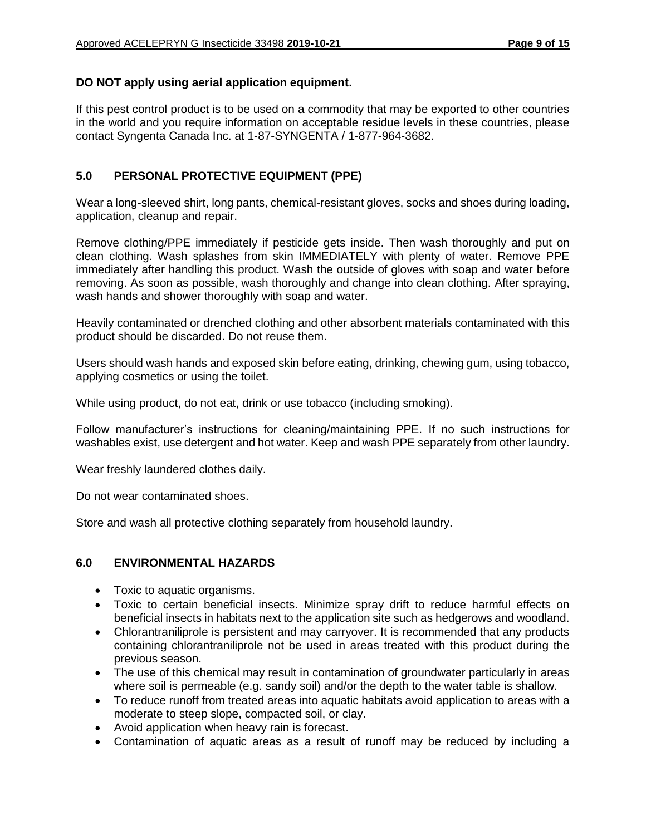## **DO NOT apply using aerial application equipment.**

If this pest control product is to be used on a commodity that may be exported to other countries in the world and you require information on acceptable residue levels in these countries, please contact Syngenta Canada Inc. at 1-87-SYNGENTA / 1-877-964-3682.

## **5.0 PERSONAL PROTECTIVE EQUIPMENT (PPE)**

Wear a long-sleeved shirt, long pants, chemical-resistant gloves, socks and shoes during loading, application, cleanup and repair.

Remove clothing/PPE immediately if pesticide gets inside. Then wash thoroughly and put on clean clothing. Wash splashes from skin IMMEDIATELY with plenty of water. Remove PPE immediately after handling this product. Wash the outside of gloves with soap and water before removing. As soon as possible, wash thoroughly and change into clean clothing. After spraying, wash hands and shower thoroughly with soap and water.

Heavily contaminated or drenched clothing and other absorbent materials contaminated with this product should be discarded. Do not reuse them.

Users should wash hands and exposed skin before eating, drinking, chewing gum, using tobacco, applying cosmetics or using the toilet.

While using product, do not eat, drink or use tobacco (including smoking).

Follow manufacturer's instructions for cleaning/maintaining PPE. If no such instructions for washables exist, use detergent and hot water. Keep and wash PPE separately from other laundry.

Wear freshly laundered clothes daily.

Do not wear contaminated shoes.

Store and wash all protective clothing separately from household laundry.

## **6.0 ENVIRONMENTAL HAZARDS**

- Toxic to aquatic organisms.
- Toxic to certain beneficial insects. Minimize spray drift to reduce harmful effects on beneficial insects in habitats next to the application site such as hedgerows and woodland.
- Chlorantraniliprole is persistent and may carryover. It is recommended that any products containing chlorantraniliprole not be used in areas treated with this product during the previous season.
- The use of this chemical may result in contamination of groundwater particularly in areas where soil is permeable (e.g. sandy soil) and/or the depth to the water table is shallow.
- To reduce runoff from treated areas into aquatic habitats avoid application to areas with a moderate to steep slope, compacted soil, or clay.
- Avoid application when heavy rain is forecast.
- Contamination of aquatic areas as a result of runoff may be reduced by including a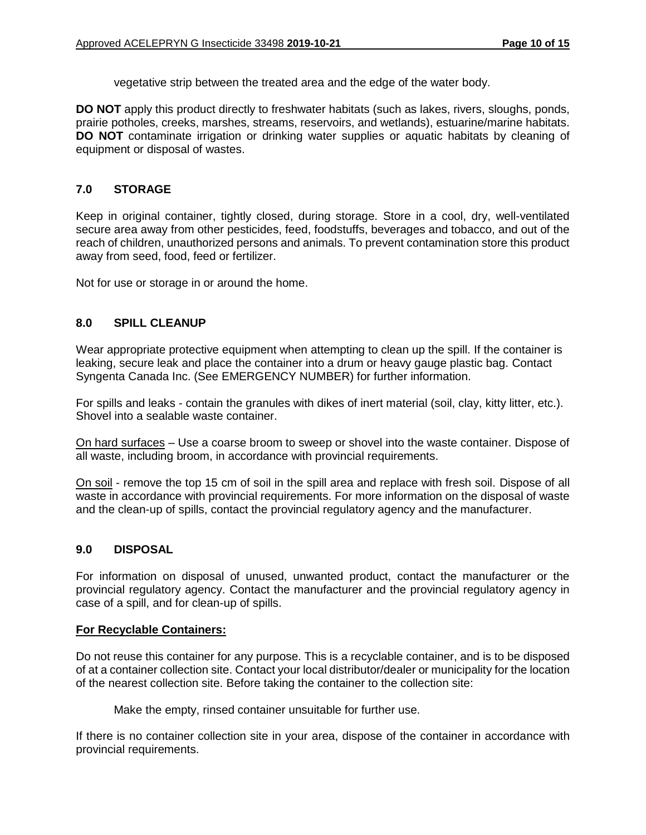vegetative strip between the treated area and the edge of the water body.

**DO NOT** apply this product directly to freshwater habitats (such as lakes, rivers, sloughs, ponds, prairie potholes, creeks, marshes, streams, reservoirs, and wetlands), estuarine/marine habitats. **DO NOT** contaminate irrigation or drinking water supplies or aquatic habitats by cleaning of equipment or disposal of wastes.

#### **7.0 STORAGE**

Keep in original container, tightly closed, during storage. Store in a cool, dry, well-ventilated secure area away from other pesticides, feed, foodstuffs, beverages and tobacco, and out of the reach of children, unauthorized persons and animals. To prevent contamination store this product away from seed, food, feed or fertilizer.

Not for use or storage in or around the home.

#### **8.0 SPILL CLEANUP**

Wear appropriate protective equipment when attempting to clean up the spill. If the container is leaking, secure leak and place the container into a drum or heavy gauge plastic bag. Contact Syngenta Canada Inc. (See EMERGENCY NUMBER) for further information.

For spills and leaks - contain the granules with dikes of inert material (soil, clay, kitty litter, etc.). Shovel into a sealable waste container.

On hard surfaces – Use a coarse broom to sweep or shovel into the waste container. Dispose of all waste, including broom, in accordance with provincial requirements.

On soil - remove the top 15 cm of soil in the spill area and replace with fresh soil. Dispose of all waste in accordance with provincial requirements. For more information on the disposal of waste and the clean-up of spills, contact the provincial regulatory agency and the manufacturer.

#### **9.0 DISPOSAL**

For information on disposal of unused, unwanted product, contact the manufacturer or the provincial regulatory agency. Contact the manufacturer and the provincial regulatory agency in case of a spill, and for clean-up of spills.

#### **For Recyclable Containers:**

Do not reuse this container for any purpose. This is a recyclable container, and is to be disposed of at a container collection site. Contact your local distributor/dealer or municipality for the location of the nearest collection site. Before taking the container to the collection site:

Make the empty, rinsed container unsuitable for further use.

If there is no container collection site in your area, dispose of the container in accordance with provincial requirements.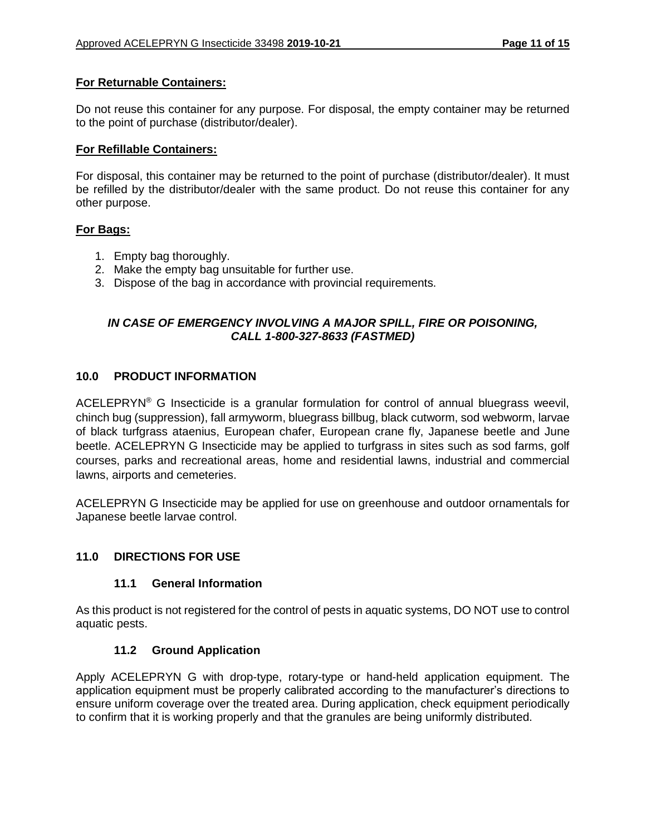#### **For Returnable Containers:**

Do not reuse this container for any purpose. For disposal, the empty container may be returned to the point of purchase (distributor/dealer).

#### **For Refillable Containers:**

For disposal, this container may be returned to the point of purchase (distributor/dealer). It must be refilled by the distributor/dealer with the same product. Do not reuse this container for any other purpose.

#### **For Bags:**

- 1. Empty bag thoroughly.
- 2. Make the empty bag unsuitable for further use.
- 3. Dispose of the bag in accordance with provincial requirements.

## *IN CASE OF EMERGENCY INVOLVING A MAJOR SPILL, FIRE OR POISONING, CALL 1-800-327-8633 (FASTMED)*

#### **10.0 PRODUCT INFORMATION**

ACELEPRYN<sup>®</sup> G Insecticide is a granular formulation for control of annual bluegrass weevil, chinch bug (suppression), fall armyworm, bluegrass billbug, black cutworm, sod webworm, larvae of black turfgrass ataenius, European chafer, European crane fly, Japanese beetle and June beetle. ACELEPRYN G Insecticide may be applied to turfgrass in sites such as sod farms, golf courses, parks and recreational areas, home and residential lawns, industrial and commercial lawns, airports and cemeteries.

ACELEPRYN G Insecticide may be applied for use on greenhouse and outdoor ornamentals for Japanese beetle larvae control.

#### **11.0 DIRECTIONS FOR USE**

#### **11.1 General Information**

As this product is not registered for the control of pests in aquatic systems, DO NOT use to control aquatic pests.

#### **11.2 Ground Application**

Apply ACELEPRYN G with drop-type, rotary-type or hand-held application equipment. The application equipment must be properly calibrated according to the manufacturer's directions to ensure uniform coverage over the treated area. During application, check equipment periodically to confirm that it is working properly and that the granules are being uniformly distributed.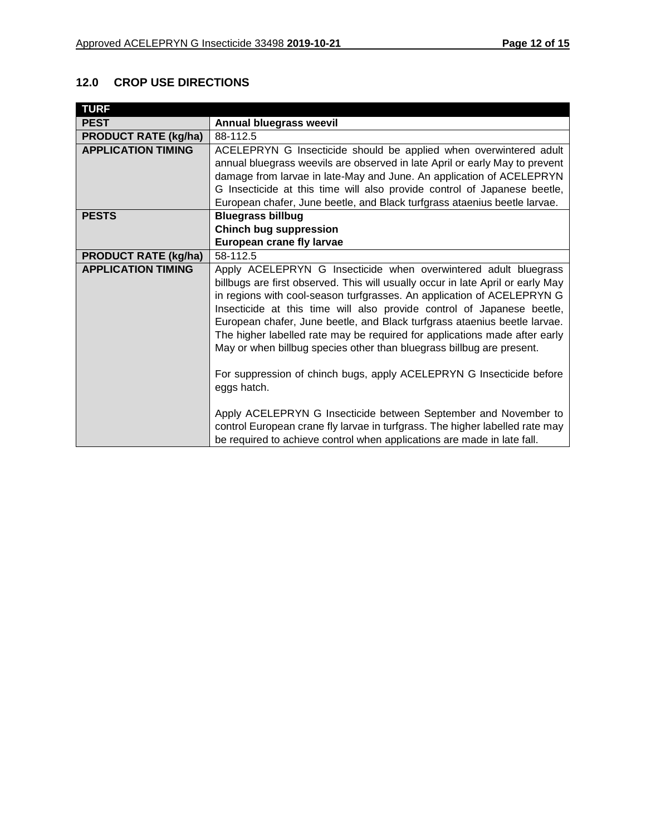## **12.0 CROP USE DIRECTIONS**

| <b>TURF</b>                 |                                                                                                                                                                                                                                                                                                                                                                                                                                                                                                                                                                                                                                   |
|-----------------------------|-----------------------------------------------------------------------------------------------------------------------------------------------------------------------------------------------------------------------------------------------------------------------------------------------------------------------------------------------------------------------------------------------------------------------------------------------------------------------------------------------------------------------------------------------------------------------------------------------------------------------------------|
| <b>PEST</b>                 | Annual bluegrass weevil                                                                                                                                                                                                                                                                                                                                                                                                                                                                                                                                                                                                           |
| <b>PRODUCT RATE (kg/ha)</b> | 88-112.5                                                                                                                                                                                                                                                                                                                                                                                                                                                                                                                                                                                                                          |
| <b>APPLICATION TIMING</b>   | ACELEPRYN G Insecticide should be applied when overwintered adult                                                                                                                                                                                                                                                                                                                                                                                                                                                                                                                                                                 |
|                             | annual bluegrass weevils are observed in late April or early May to prevent                                                                                                                                                                                                                                                                                                                                                                                                                                                                                                                                                       |
|                             | damage from larvae in late-May and June. An application of ACELEPRYN                                                                                                                                                                                                                                                                                                                                                                                                                                                                                                                                                              |
|                             | G Insecticide at this time will also provide control of Japanese beetle,                                                                                                                                                                                                                                                                                                                                                                                                                                                                                                                                                          |
|                             | European chafer, June beetle, and Black turfgrass ataenius beetle larvae.                                                                                                                                                                                                                                                                                                                                                                                                                                                                                                                                                         |
| <b>PESTS</b>                | <b>Bluegrass billbug</b>                                                                                                                                                                                                                                                                                                                                                                                                                                                                                                                                                                                                          |
|                             | <b>Chinch bug suppression</b>                                                                                                                                                                                                                                                                                                                                                                                                                                                                                                                                                                                                     |
|                             | European crane fly larvae                                                                                                                                                                                                                                                                                                                                                                                                                                                                                                                                                                                                         |
| <b>PRODUCT RATE (kg/ha)</b> | 58-112.5                                                                                                                                                                                                                                                                                                                                                                                                                                                                                                                                                                                                                          |
| <b>APPLICATION TIMING</b>   | Apply ACELEPRYN G Insecticide when overwintered adult bluegrass<br>billbugs are first observed. This will usually occur in late April or early May<br>in regions with cool-season turfgrasses. An application of ACELEPRYN G<br>Insecticide at this time will also provide control of Japanese beetle,<br>European chafer, June beetle, and Black turfgrass ataenius beetle larvae.<br>The higher labelled rate may be required for applications made after early<br>May or when billbug species other than bluegrass billbug are present.<br>For suppression of chinch bugs, apply ACELEPRYN G Insecticide before<br>eggs hatch. |
|                             | Apply ACELEPRYN G Insecticide between September and November to<br>control European crane fly larvae in turfgrass. The higher labelled rate may<br>be required to achieve control when applications are made in late fall.                                                                                                                                                                                                                                                                                                                                                                                                        |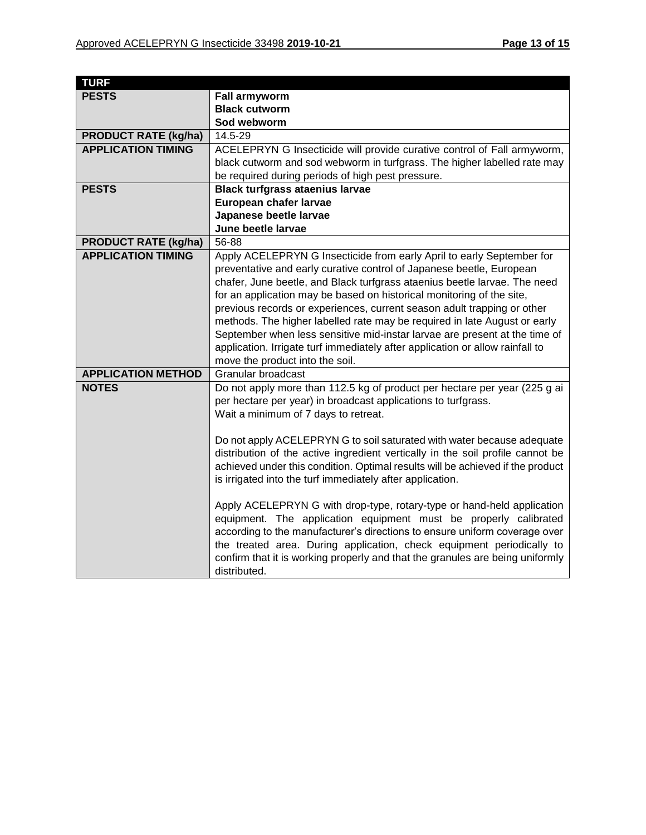| <b>TURF</b>                 |                                                                                |
|-----------------------------|--------------------------------------------------------------------------------|
| <b>PESTS</b>                | <b>Fall armyworm</b>                                                           |
|                             | <b>Black cutworm</b>                                                           |
|                             | Sod webworm                                                                    |
| <b>PRODUCT RATE (kg/ha)</b> | 14.5-29                                                                        |
| <b>APPLICATION TIMING</b>   | ACELEPRYN G Insecticide will provide curative control of Fall armyworm,        |
|                             | black cutworm and sod webworm in turfgrass. The higher labelled rate may       |
|                             | be required during periods of high pest pressure.                              |
| <b>PESTS</b>                | <b>Black turfgrass ataenius larvae</b>                                         |
|                             | European chafer larvae                                                         |
|                             | Japanese beetle larvae                                                         |
|                             | June beetle larvae                                                             |
| <b>PRODUCT RATE (kg/ha)</b> | 56-88                                                                          |
| <b>APPLICATION TIMING</b>   | Apply ACELEPRYN G Insecticide from early April to early September for          |
|                             | preventative and early curative control of Japanese beetle, European           |
|                             | chafer, June beetle, and Black turfgrass ataenius beetle larvae. The need      |
|                             | for an application may be based on historical monitoring of the site,          |
|                             | previous records or experiences, current season adult trapping or other        |
|                             | methods. The higher labelled rate may be required in late August or early      |
|                             | September when less sensitive mid-instar larvae are present at the time of     |
|                             | application. Irrigate turf immediately after application or allow rainfall to  |
|                             | move the product into the soil.                                                |
| <b>APPLICATION METHOD</b>   | Granular broadcast                                                             |
| <b>NOTES</b>                | Do not apply more than 112.5 kg of product per hectare per year (225 g ai      |
|                             | per hectare per year) in broadcast applications to turfgrass.                  |
|                             | Wait a minimum of 7 days to retreat.                                           |
|                             |                                                                                |
|                             | Do not apply ACELEPRYN G to soil saturated with water because adequate         |
|                             | distribution of the active ingredient vertically in the soil profile cannot be |
|                             | achieved under this condition. Optimal results will be achieved if the product |
|                             | is irrigated into the turf immediately after application.                      |
|                             |                                                                                |
|                             | Apply ACELEPRYN G with drop-type, rotary-type or hand-held application         |
|                             | equipment. The application equipment must be properly calibrated               |
|                             | according to the manufacturer's directions to ensure uniform coverage over     |
|                             | the treated area. During application, check equipment periodically to          |
|                             | confirm that it is working properly and that the granules are being uniformly  |
|                             | distributed.                                                                   |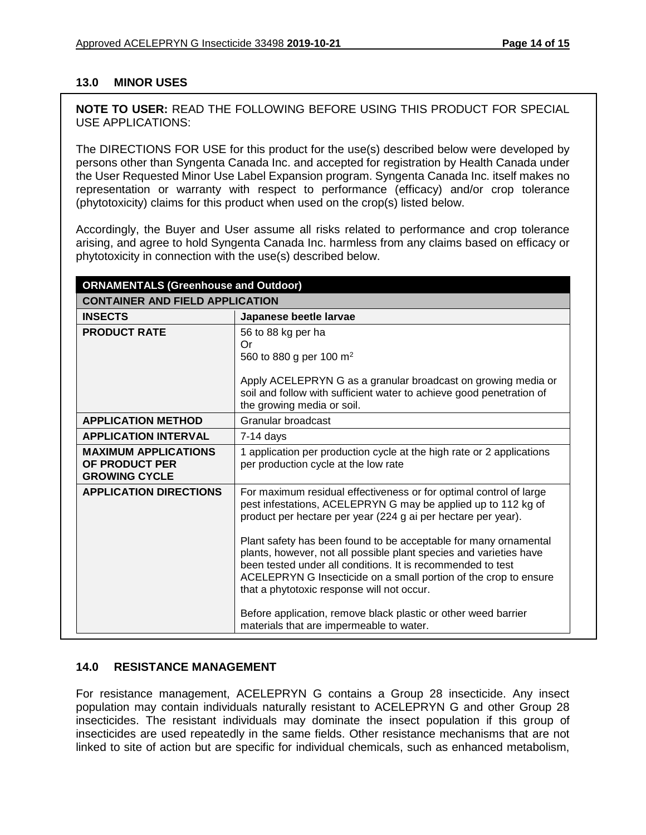## **13.0 MINOR USES**

**NOTE TO USER:** READ THE FOLLOWING BEFORE USING THIS PRODUCT FOR SPECIAL USE APPLICATIONS:

The DIRECTIONS FOR USE for this product for the use(s) described below were developed by persons other than Syngenta Canada Inc. and accepted for registration by Health Canada under the User Requested Minor Use Label Expansion program. Syngenta Canada Inc. itself makes no representation or warranty with respect to performance (efficacy) and/or crop tolerance (phytotoxicity) claims for this product when used on the crop(s) listed below.

Accordingly, the Buyer and User assume all risks related to performance and crop tolerance arising, and agree to hold Syngenta Canada Inc. harmless from any claims based on efficacy or phytotoxicity in connection with the use(s) described below.

| <b>ORNAMENTALS (Greenhouse and Outdoor)</b>                           |                                                                                                                                                                                                                                                                                                                                                                                                               |  |
|-----------------------------------------------------------------------|---------------------------------------------------------------------------------------------------------------------------------------------------------------------------------------------------------------------------------------------------------------------------------------------------------------------------------------------------------------------------------------------------------------|--|
| <b>CONTAINER AND FIELD APPLICATION</b>                                |                                                                                                                                                                                                                                                                                                                                                                                                               |  |
| <b>INSECTS</b>                                                        | Japanese beetle larvae                                                                                                                                                                                                                                                                                                                                                                                        |  |
| <b>PRODUCT RATE</b>                                                   | 56 to 88 kg per ha<br>Or<br>560 to 880 g per 100 m <sup>2</sup><br>Apply ACELEPRYN G as a granular broadcast on growing media or<br>soil and follow with sufficient water to achieve good penetration of<br>the growing media or soil.                                                                                                                                                                        |  |
| <b>APPLICATION METHOD</b>                                             | Granular broadcast                                                                                                                                                                                                                                                                                                                                                                                            |  |
| <b>APPLICATION INTERVAL</b>                                           | $7-14$ days                                                                                                                                                                                                                                                                                                                                                                                                   |  |
| <b>MAXIMUM APPLICATIONS</b><br>OF PRODUCT PER<br><b>GROWING CYCLE</b> | 1 application per production cycle at the high rate or 2 applications<br>per production cycle at the low rate                                                                                                                                                                                                                                                                                                 |  |
| <b>APPLICATION DIRECTIONS</b>                                         | For maximum residual effectiveness or for optimal control of large<br>pest infestations, ACELEPRYN G may be applied up to 112 kg of<br>product per hectare per year (224 g ai per hectare per year).<br>Plant safety has been found to be acceptable for many ornamental<br>plants, however, not all possible plant species and varieties have<br>been tested under all conditions. It is recommended to test |  |
|                                                                       | ACELEPRYN G Insecticide on a small portion of the crop to ensure<br>that a phytotoxic response will not occur.<br>Before application, remove black plastic or other weed barrier<br>materials that are impermeable to water.                                                                                                                                                                                  |  |

## **14.0 RESISTANCE MANAGEMENT**

For resistance management, ACELEPRYN G contains a Group 28 insecticide. Any insect population may contain individuals naturally resistant to ACELEPRYN G and other Group 28 insecticides. The resistant individuals may dominate the insect population if this group of insecticides are used repeatedly in the same fields. Other resistance mechanisms that are not linked to site of action but are specific for individual chemicals, such as enhanced metabolism,